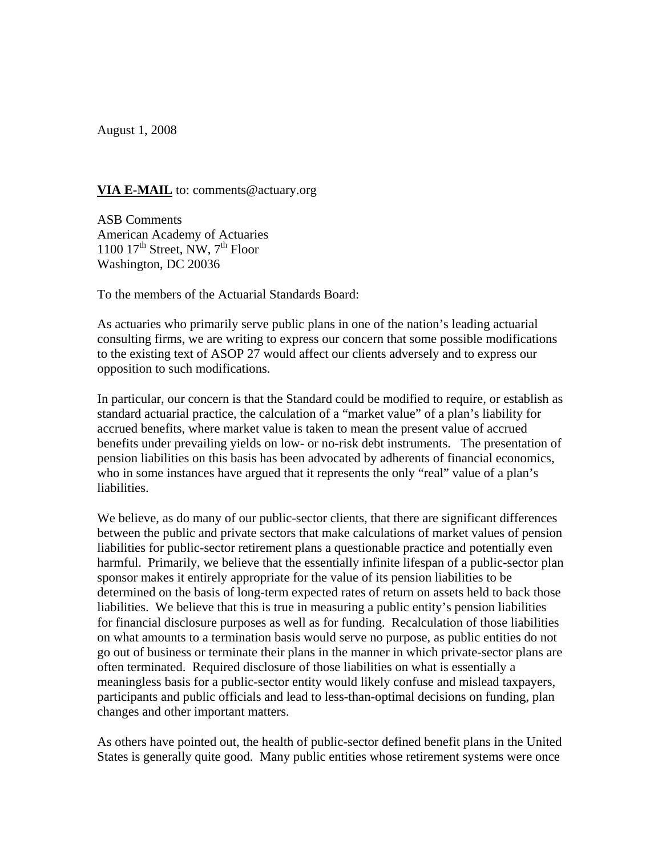August 1, 2008

## **VIA E-MAIL** to: comments@actuary.org

ASB Comments American Academy of Actuaries 1100  $17<sup>th</sup>$  Street, NW,  $7<sup>th</sup>$  Floor Washington, DC 20036

To the members of the Actuarial Standards Board:

As actuaries who primarily serve public plans in one of the nation's leading actuarial consulting firms, we are writing to express our concern that some possible modifications to the existing text of ASOP 27 would affect our clients adversely and to express our opposition to such modifications.

In particular, our concern is that the Standard could be modified to require, or establish as standard actuarial practice, the calculation of a "market value" of a plan's liability for accrued benefits, where market value is taken to mean the present value of accrued benefits under prevailing yields on low- or no-risk debt instruments. The presentation of pension liabilities on this basis has been advocated by adherents of financial economics, who in some instances have argued that it represents the only "real" value of a plan's liabilities.

We believe, as do many of our public-sector clients, that there are significant differences between the public and private sectors that make calculations of market values of pension liabilities for public-sector retirement plans a questionable practice and potentially even harmful. Primarily, we believe that the essentially infinite lifespan of a public-sector plan sponsor makes it entirely appropriate for the value of its pension liabilities to be determined on the basis of long-term expected rates of return on assets held to back those liabilities. We believe that this is true in measuring a public entity's pension liabilities for financial disclosure purposes as well as for funding. Recalculation of those liabilities on what amounts to a termination basis would serve no purpose, as public entities do not go out of business or terminate their plans in the manner in which private-sector plans are often terminated. Required disclosure of those liabilities on what is essentially a meaningless basis for a public-sector entity would likely confuse and mislead taxpayers, participants and public officials and lead to less-than-optimal decisions on funding, plan changes and other important matters.

As others have pointed out, the health of public-sector defined benefit plans in the United States is generally quite good. Many public entities whose retirement systems were once